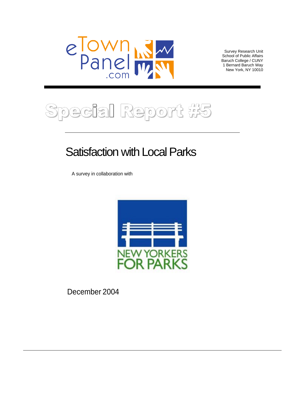

Survey Research Unit<br>School of Public Affairs School of Public Affairs Baruch College / CUNY 1 Bernard Baruch Way New York, NY 10010



# **Satisfaction with Local Parks**

A survey in collaboration with



December 2004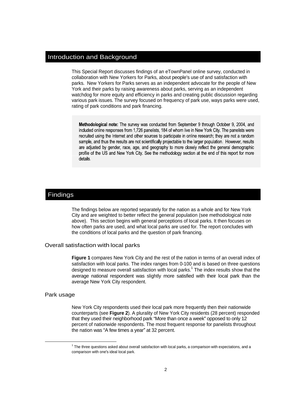## Introduction and Background

This Special Report discusses findings of an eTownPanel online survey, conducted in collaboration with New Yorkers for Parks, about people's use of and satisfaction with parks. New Yorkers for Parks serves as an independent advocate for the people of New York and their parks by raising awareness about parks, serving as an independent watchdog for more equity and efficiency in parks and creating public discussion regarding various park issues. The survey focused on frequency of park use, ways parks were used, rating of park conditions and park financing.

Methodological note: The survey was conducted from September 9 through October 9, 2004, and included online responses from 1.726 panelists, 184 of whom live in New York City. The panelists were recruited using the Internet and other sources to participate in online research; they are not a random sample, and thus the results are not scientifically projectable to the larger population. However, results are adjusted by gender, race, age, and geography to more closely reflect the general demographic profile of the US and New York City. See the methodology section at the end of this report for more details.

## Findings

The findings below are reported separately for the nation as a whole and for New York City and are weighted to better reflect the general population (see methodological note above). This section begins with general perceptions of local parks. It then focuses on how often parks are used, and what local parks are used for. The report concludes with the conditions of local parks and the question of park financing.

#### Overall satisfaction with local parks

**Figure 1** compares New York City and the rest of the nation in terms of an overall index of satisfaction with local parks. The index ranges from 0-100 and is based on three questions designed to measure overall satisfaction with local parks.<sup>1</sup> The index results show that the average national respondent was slightly more satisfied with their local park than the average New York City respondent.

#### Park usage **Exercise Contract and Security Contract and Security Contract and Security Contract and Security Contract and Security Contract and Security Contract and Security Contract and Security Contract and Security Con**

New York City respondents used their local park more frequently then their nationwide counterparts (see **Figure 2**). A plurality of New York City residents (28 percent) responded that they used their neighborhood park "More than once a week" opposed to only 12 percent of nationwide respondents. The most frequent response for panelists throughout the nation was "A few times a year" at 32 percent.

<sup>&</sup>lt;sup>1</sup> The three questions ested shout everal estisfaction with least parks, a comparison with evenetitiese and a  $1$  The three questions asked about overall satisfaction with local parks, a comparison with expectations, and a  $\epsilon$ omparison with one's ideal local park.  $\epsilon$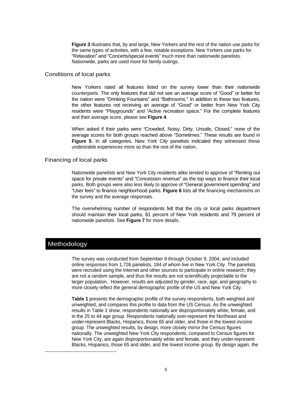**Figure 3** illustrates that, by and large, New Yorkers and the rest of the nation use parks for the same types of activities, with a few, notable exceptions. New Yorkers use parks for "Relaxation" and "Concerts/special events" much more than nationwide panelists.<br>Nationwide, parks are used more for family outings.

#### Conditions of local parks

New Yorkers rated all features listed on the survey lower than their nationwide counterparts. The only features that did not see an average score of "Good" or better for the nation were "Drinking Fountains" and "Bathrooms." In addition to these two features, the other features not receiving an average of "Good" or better from New York City residents were "Playgrounds" and "Active recreation space." For the complete features and their average score, please see **Figure 4**.

When asked if their parks were "Crowded, Noisy, Dirty, Unsafe, Closed," none of the average scores for both groups reached above "Sometimes." These results are found in **Figure 5**. In all categories, New York City panelists indicated they witnessed these undesirable experiences more so than the rest of the nation.

### Financing of local parks

Nationwide panelists and New York City residents alike tended to approve of "Renting out space for private events" and "Concession revenue" as the top ways to finance their local parks. Both groups were also less likely to approve of "General government spending" and "User fees" to finance neighborhood parks. Figure 6 lists all the financing mechanisms on the survey and the average responses.

The overwhelming number of respondents felt that the city or local parks department should maintain their local parks, 81 percent of New York residents and 79 percent of nationwide panelists. See **Figure 7** for more details.

## Methodology

l

The survey was conducted from September 9 through October 9, 2004, and included online responses from 1,726 panelists, 184 of whom live in New York City. The panelists were recruited using the Internet and other sources to participate in online research; they are not a random sample, and thus the results are not scientifically projectable to the larger population. However, results are adjusted by gender, race, age, and geography to more closely reflect the general demographic profile of the US and New York City.

**Table 1** presents the demographic profile of the survey respondents, both weighted and unweighted, and compares this profile to data from the US Census. As the unweighted results in Table 1 show, respondents nationally are disproportionately white, female, and in the 25 to 44 age group. Respondents nationally over-represent the Northeast and under-represent Blacks, Hispanics, those 65 and older, and those in the lowest income group. The unweighted results, by design, more closely mirror the Census figures nationally. The unweighted New York City respondents, compared to Census figures for New York City, are again disproportionately white and female, and they under-represent Blacks, Hispanics, those 65 and older, and the lowest income group. By design again, the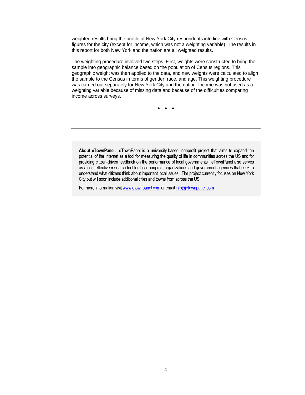weighted results bring the profile of New York City respondents into line with Census figures for the city (except for income, which was not a weighting variable). The results in this report for both New York and the nation are all weighted results.

The weighting procedure involved two steps. First, weights were constructed to bring the sample into geographic balance based on the population of Census regions. This geographic weight was then applied to the data, and new weights were calculated to align the sample to the Census in terms of gender, race, and age. This weighting procedure was carried out separately for New York City and the nation. Income was not used as a weighting variable because of missing data and because of the difficulties comparing income across surveys.

About eTownPanel. eTownPanel is a university-based, nonprofit project that aims to expand the potential of the Internet as a tool for measuring the quality of life in communities across the US and for providing citizen-driven feedback on the performance of local governments. eTownPanel also serves as a cost-effective research tool for local nonprofit organizations and government agencies that seek to understand what citizens think about important local issues. The project currently focuses on New York City but will soon include additional cities and towns from across the US.

For more information visit www.etownpanel.com or email info@etownpanel.com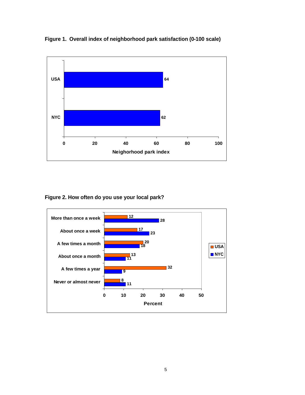



**Figure 2. How often do you use your local park?** 

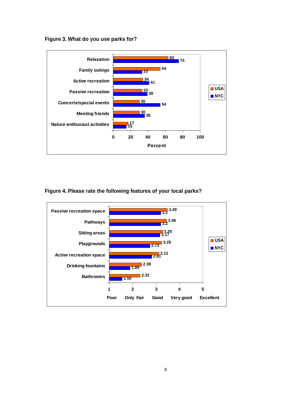**Figure 3. What do you use parks for?** 



**Figure 4. Please rate the following features of your local parks?** 

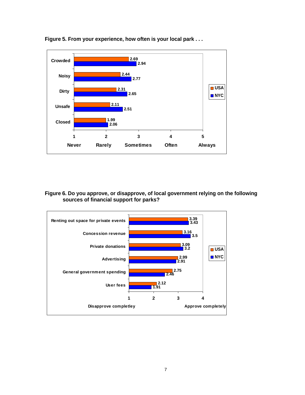

**Figure 5. From your experience, how often is your local park . . .** 

## **Figure 6. Do you approve, or disapprove, of local government relying on the following sources of financial support for parks?**

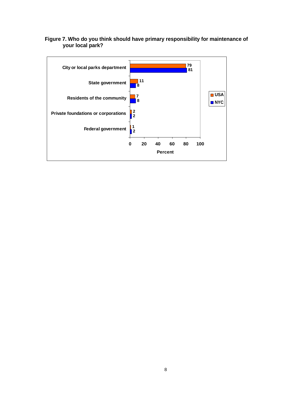

## **Figure 7. Who do you think should have primary responsibility for maintenance of your local park?**